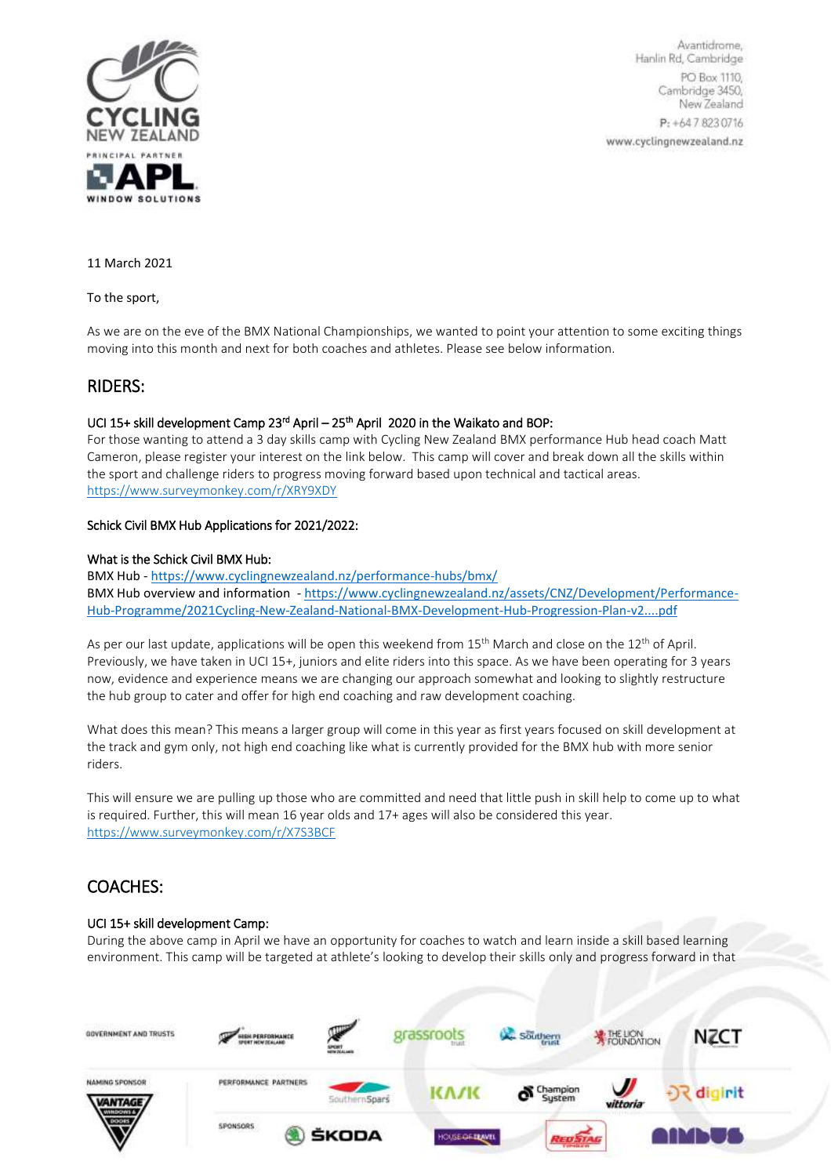

Avantidrome, Hanlin Rd, Cambridge PO Box 1110, Cambridge 3450, New Zealand P: +647.8230716 www.cyclingnewzealand.nz

11 March 2021

To the sport,

As we are on the eve of the BMX National Championships, we wanted to point your attention to some exciting things moving into this month and next for both coaches and athletes. Please see below information.

## RIDERS:

## UCI 15+ skill development Camp 23<sup>rd</sup> April – 25<sup>th</sup> April 2020 in the Waikato and BOP:

For those wanting to attend a 3 day skills camp with Cycling New Zealand BMX performance Hub head coach Matt Cameron, please register your interest on the link below. This camp will cover and break down all the skills within the sport and challenge riders to progress moving forward based upon technical and tactical areas. <https://www.surveymonkey.com/r/XRY9XDY>

## Schick Civil BMX Hub Applications for 2021/2022:

### What is the Schick Civil BMX Hub:

BMX Hub - <https://www.cyclingnewzealand.nz/performance-hubs/bmx/> BMX Hub overview and information - [https://www.cyclingnewzealand.nz/assets/CNZ/Development/Performance-](https://www.cyclingnewzealand.nz/assets/CNZ/Development/Performance-Hub-Programme/2021Cycling-New-Zealand-National-BMX-Development-Hub-Progression-Plan-v2....pdf)[Hub-Programme/2021Cycling-New-Zealand-National-BMX-Development-Hub-Progression-Plan-v2....pdf](https://www.cyclingnewzealand.nz/assets/CNZ/Development/Performance-Hub-Programme/2021Cycling-New-Zealand-National-BMX-Development-Hub-Progression-Plan-v2....pdf)

As per our last update, applications will be open this weekend from 15<sup>th</sup> March and close on the 12<sup>th</sup> of April. Previously, we have taken in UCI 15+, juniors and elite riders into this space. As we have been operating for 3 years now, evidence and experience means we are changing our approach somewhat and looking to slightly restructure the hub group to cater and offer for high end coaching and raw development coaching.

What does this mean? This means a larger group will come in this year as first years focused on skill development at the track and gym only, not high end coaching like what is currently provided for the BMX hub with more senior riders.

This will ensure we are pulling up those who are committed and need that little push in skill help to come up to what is required. Further, this will mean 16 year olds and 17+ ages will also be considered this year. <https://www.surveymonkey.com/r/X7S3BCF>

# COACHES:

## UCI 15+ skill development Camp:

During the above camp in April we have an opportunity for coaches to watch and learn inside a skill based learning environment. This camp will be targeted at athlete's looking to develop their skills only and progress forward in that